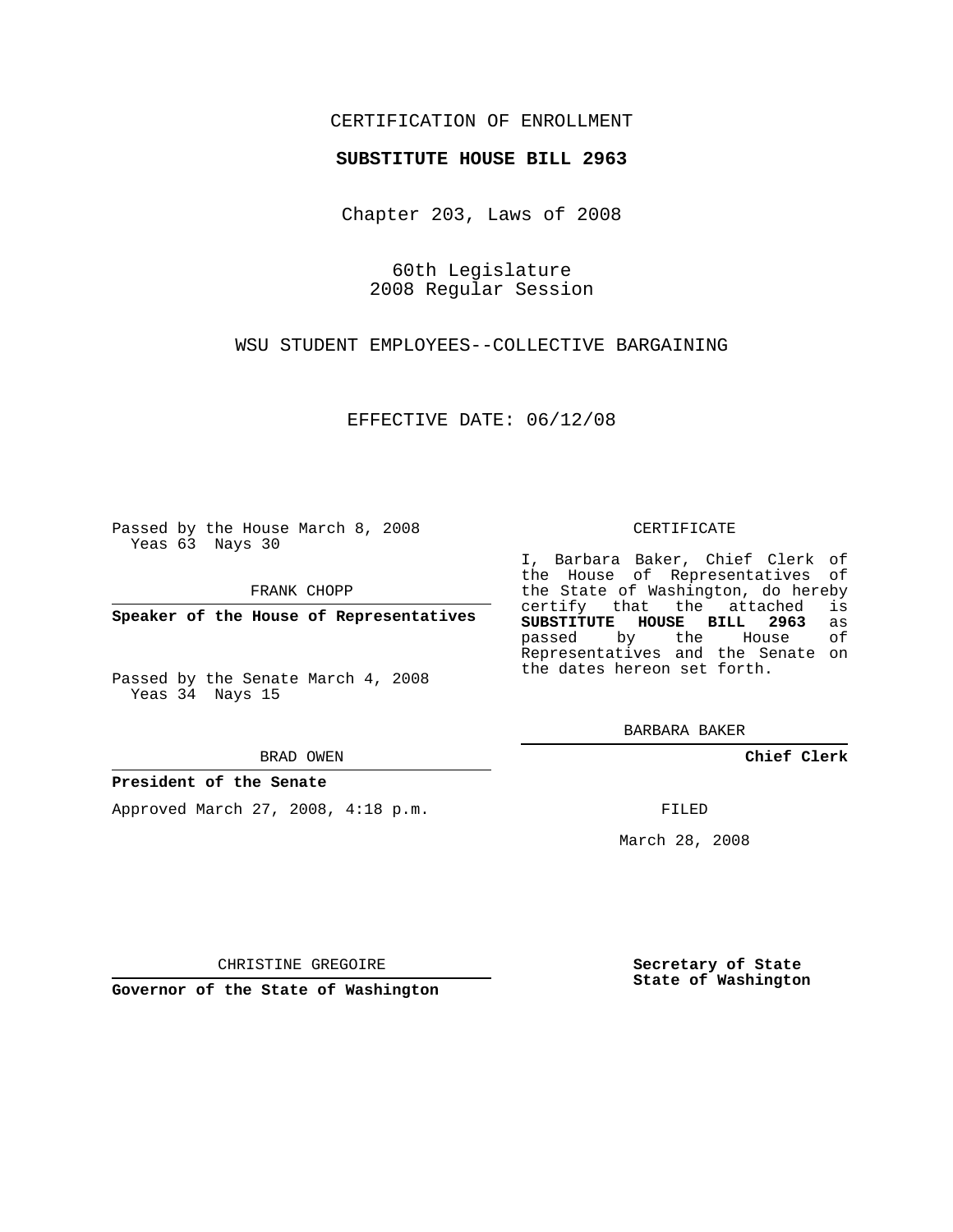### CERTIFICATION OF ENROLLMENT

### **SUBSTITUTE HOUSE BILL 2963**

Chapter 203, Laws of 2008

60th Legislature 2008 Regular Session

WSU STUDENT EMPLOYEES--COLLECTIVE BARGAINING

EFFECTIVE DATE: 06/12/08

Passed by the House March 8, 2008 Yeas 63 Nays 30

FRANK CHOPP

**Speaker of the House of Representatives**

Passed by the Senate March 4, 2008 Yeas 34 Nays 15

#### BRAD OWEN

### **President of the Senate**

Approved March 27, 2008, 4:18 p.m.

#### CERTIFICATE

I, Barbara Baker, Chief Clerk of the House of Representatives of the State of Washington, do hereby<br>certify that the attached is certify that the attached **SUBSTITUTE HOUSE BILL 2963** as passed by the House Representatives and the Senate on the dates hereon set forth.

BARBARA BAKER

**Chief Clerk**

FILED

March 28, 2008

CHRISTINE GREGOIRE

**Governor of the State of Washington**

**Secretary of State State of Washington**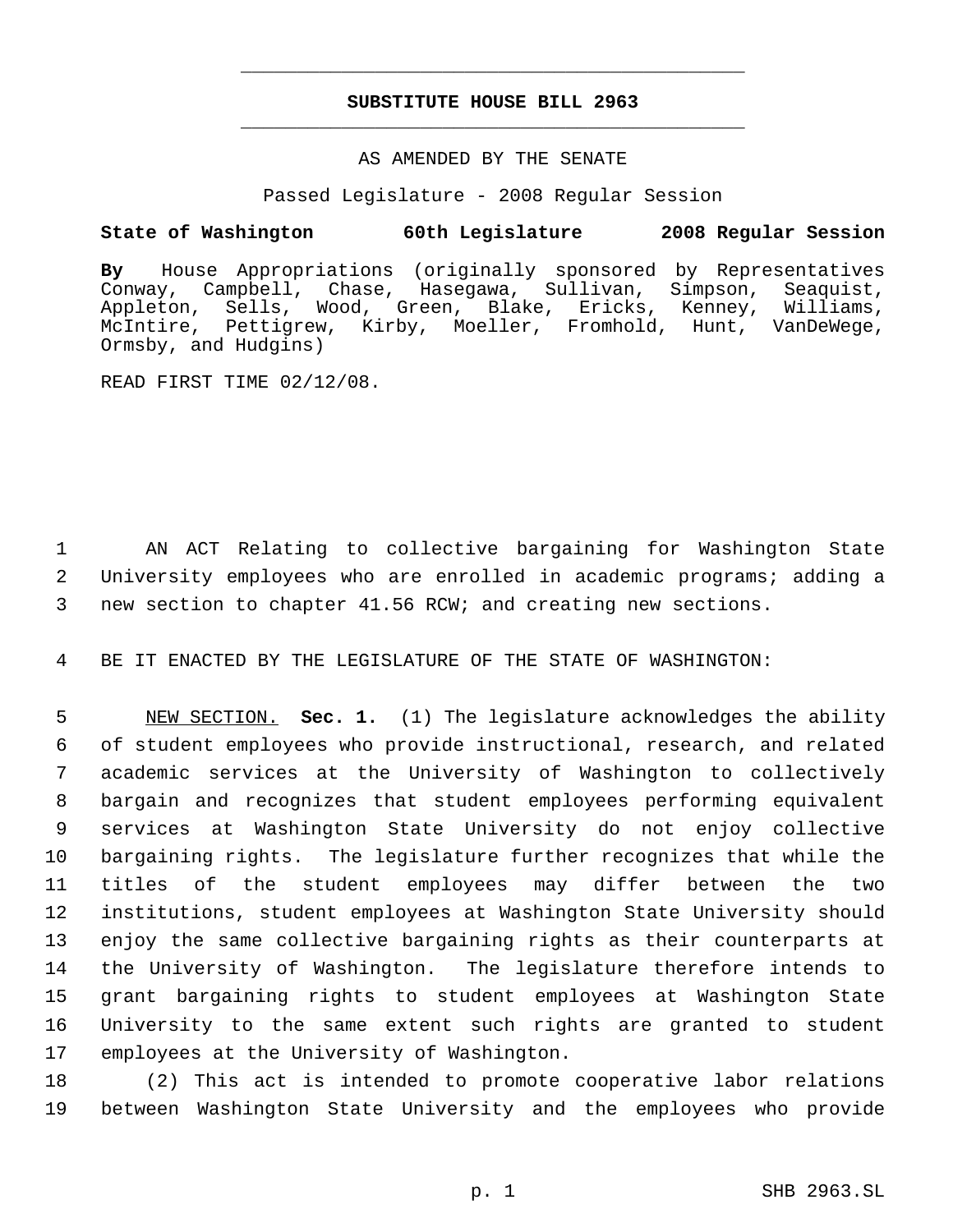# **SUBSTITUTE HOUSE BILL 2963** \_\_\_\_\_\_\_\_\_\_\_\_\_\_\_\_\_\_\_\_\_\_\_\_\_\_\_\_\_\_\_\_\_\_\_\_\_\_\_\_\_\_\_\_\_

\_\_\_\_\_\_\_\_\_\_\_\_\_\_\_\_\_\_\_\_\_\_\_\_\_\_\_\_\_\_\_\_\_\_\_\_\_\_\_\_\_\_\_\_\_

### AS AMENDED BY THE SENATE

Passed Legislature - 2008 Regular Session

## **State of Washington 60th Legislature 2008 Regular Session**

**By** House Appropriations (originally sponsored by Representatives Conway, Campbell, Chase, Hasegawa, Sullivan, Simpson, Seaquist, Appleton, Sells, Wood, Green, Blake, Ericks, Kenney, Williams, McIntire, Pettigrew, Kirby, Moeller, Fromhold, Hunt, VanDeWege, Ormsby, and Hudgins)

READ FIRST TIME 02/12/08.

 1 AN ACT Relating to collective bargaining for Washington State 2 University employees who are enrolled in academic programs; adding a 3 new section to chapter 41.56 RCW; and creating new sections.

4 BE IT ENACTED BY THE LEGISLATURE OF THE STATE OF WASHINGTON:

 NEW SECTION. **Sec. 1.** (1) The legislature acknowledges the ability of student employees who provide instructional, research, and related academic services at the University of Washington to collectively bargain and recognizes that student employees performing equivalent services at Washington State University do not enjoy collective bargaining rights. The legislature further recognizes that while the titles of the student employees may differ between the two institutions, student employees at Washington State University should enjoy the same collective bargaining rights as their counterparts at the University of Washington. The legislature therefore intends to grant bargaining rights to student employees at Washington State University to the same extent such rights are granted to student employees at the University of Washington.

18 (2) This act is intended to promote cooperative labor relations 19 between Washington State University and the employees who provide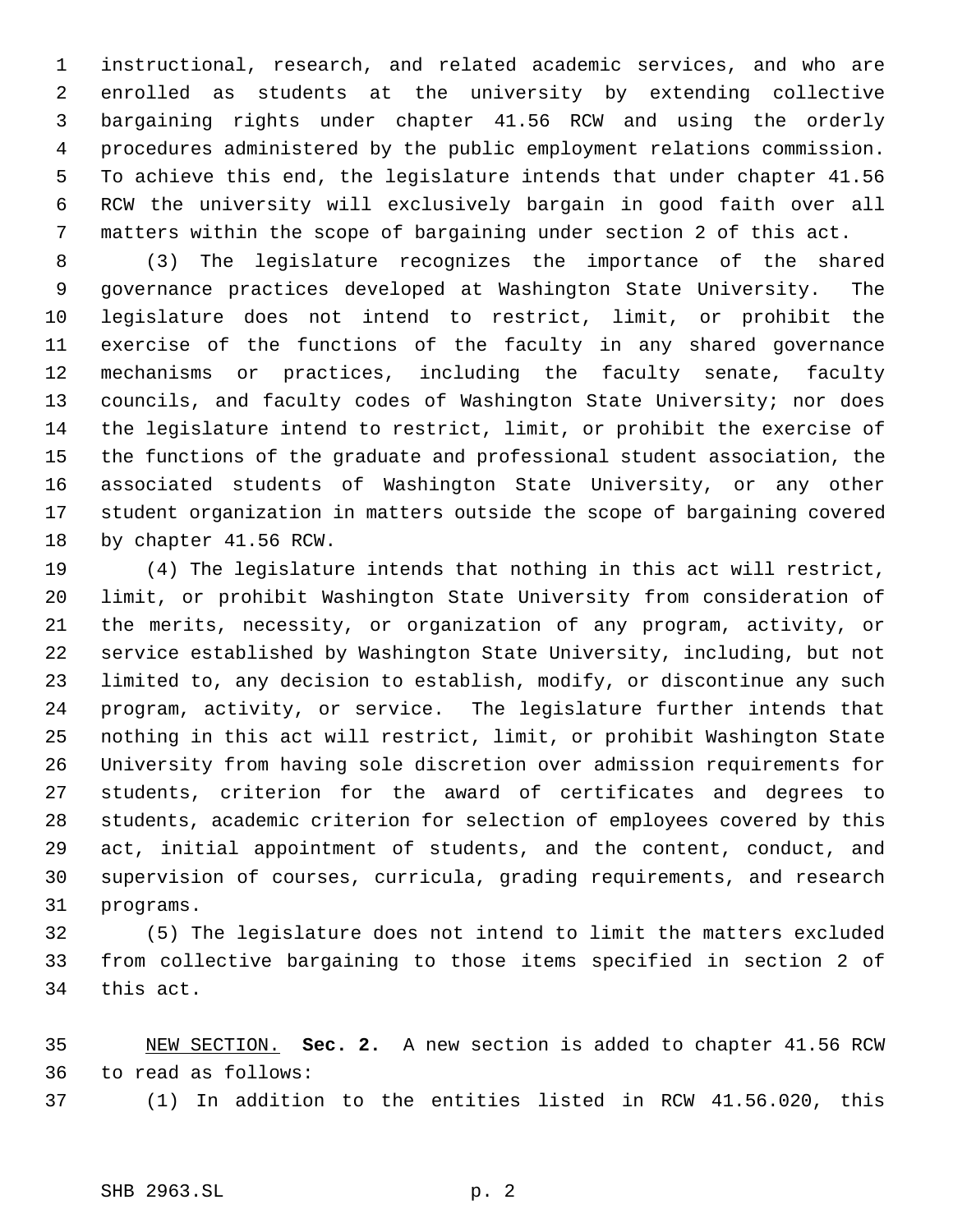instructional, research, and related academic services, and who are enrolled as students at the university by extending collective bargaining rights under chapter 41.56 RCW and using the orderly procedures administered by the public employment relations commission. To achieve this end, the legislature intends that under chapter 41.56 RCW the university will exclusively bargain in good faith over all matters within the scope of bargaining under section 2 of this act.

 (3) The legislature recognizes the importance of the shared governance practices developed at Washington State University. The legislature does not intend to restrict, limit, or prohibit the exercise of the functions of the faculty in any shared governance mechanisms or practices, including the faculty senate, faculty councils, and faculty codes of Washington State University; nor does the legislature intend to restrict, limit, or prohibit the exercise of the functions of the graduate and professional student association, the associated students of Washington State University, or any other student organization in matters outside the scope of bargaining covered by chapter 41.56 RCW.

 (4) The legislature intends that nothing in this act will restrict, limit, or prohibit Washington State University from consideration of the merits, necessity, or organization of any program, activity, or service established by Washington State University, including, but not limited to, any decision to establish, modify, or discontinue any such program, activity, or service. The legislature further intends that nothing in this act will restrict, limit, or prohibit Washington State University from having sole discretion over admission requirements for students, criterion for the award of certificates and degrees to students, academic criterion for selection of employees covered by this act, initial appointment of students, and the content, conduct, and supervision of courses, curricula, grading requirements, and research programs.

 (5) The legislature does not intend to limit the matters excluded from collective bargaining to those items specified in section 2 of this act.

 NEW SECTION. **Sec. 2.** A new section is added to chapter 41.56 RCW to read as follows: (1) In addition to the entities listed in RCW 41.56.020, this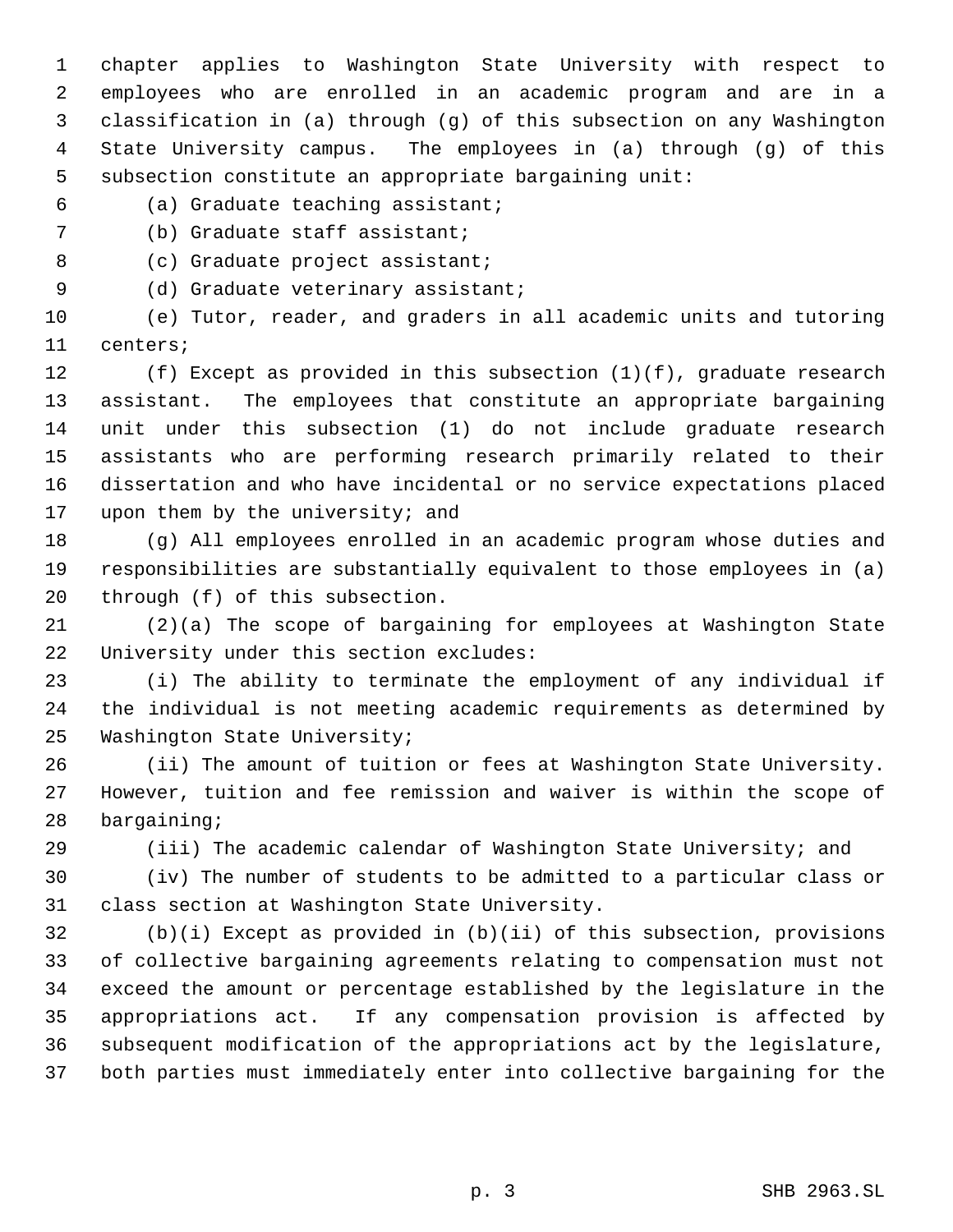chapter applies to Washington State University with respect to employees who are enrolled in an academic program and are in a classification in (a) through (g) of this subsection on any Washington State University campus. The employees in (a) through (g) of this subsection constitute an appropriate bargaining unit:

- (a) Graduate teaching assistant;
- (b) Graduate staff assistant;

8 (c) Graduate project assistant;

9 (d) Graduate veterinary assistant;

 (e) Tutor, reader, and graders in all academic units and tutoring centers;

 (f) Except as provided in this subsection (1)(f), graduate research assistant. The employees that constitute an appropriate bargaining unit under this subsection (1) do not include graduate research assistants who are performing research primarily related to their dissertation and who have incidental or no service expectations placed 17 upon them by the university; and

 (g) All employees enrolled in an academic program whose duties and responsibilities are substantially equivalent to those employees in (a) through (f) of this subsection.

 (2)(a) The scope of bargaining for employees at Washington State University under this section excludes:

 (i) The ability to terminate the employment of any individual if the individual is not meeting academic requirements as determined by Washington State University;

 (ii) The amount of tuition or fees at Washington State University. However, tuition and fee remission and waiver is within the scope of bargaining;

(iii) The academic calendar of Washington State University; and

 (iv) The number of students to be admitted to a particular class or class section at Washington State University.

 (b)(i) Except as provided in (b)(ii) of this subsection, provisions of collective bargaining agreements relating to compensation must not exceed the amount or percentage established by the legislature in the appropriations act. If any compensation provision is affected by subsequent modification of the appropriations act by the legislature, both parties must immediately enter into collective bargaining for the